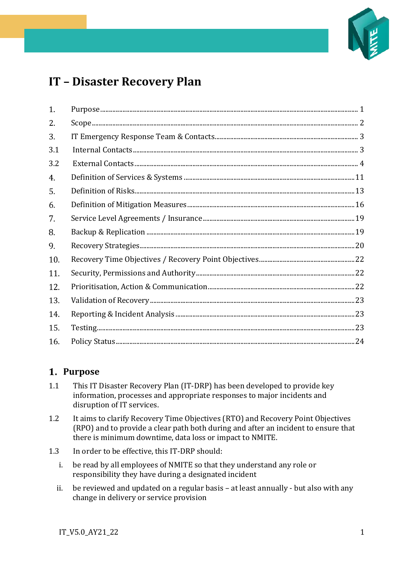

# **IT – Disaster Recovery Plan**

| 1.  |  |
|-----|--|
| 2.  |  |
| 3.  |  |
| 3.1 |  |
| 3.2 |  |
| 4.  |  |
| 5.  |  |
| 6.  |  |
| 7.  |  |
| 8.  |  |
| 9.  |  |
| 10. |  |
| 11. |  |
| 12. |  |
| 13. |  |
| 14. |  |
| 15. |  |
| 16. |  |

### <span id="page-0-0"></span>**Purpose**

- 1.1 This IT Disaster Recovery Plan (IT-DRP) has been developed to provide key information, processes and appropriate responses to major incidents and disruption of IT services.
- 1.2 It aims to clarify Recovery Time Objectives (RTO) and Recovery Point Objectives (RPO) and to provide a clear path both during and after an incident to ensure that there is minimum downtime, data loss or impact to NMITE.
- 1.3 In order to be effective, this IT-DRP should:
	- i. be read by all employees of NMITE so that they understand any role or responsibility they have during a designated incident
	- ii. be reviewed and updated on a regular basis at least annually but also with any change in delivery or service provision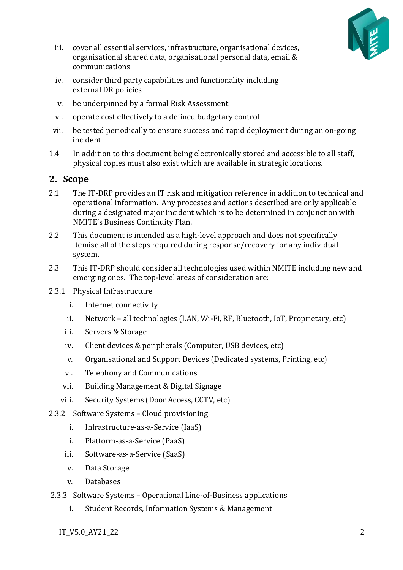

- iii. cover all essential services, infrastructure, organisational devices, organisational shared data, organisational personal data, email & communications
- iv. consider third party capabilities and functionality including external DR policies
- v. be underpinned by a formal Risk Assessment
- vi. operate cost effectively to a defined budgetary control
- vii. be tested periodically to ensure success and rapid deployment during an on-going incident
- 1.4 In addition to this document being electronically stored and accessible to all staff, physical copies must also exist which are available in strategic locations.

### <span id="page-1-0"></span>**Scope**

- 2.1 The IT-DRP provides an IT risk and mitigation reference in addition to technical and operational information. Any processes and actions described are only applicable during a designated major incident which is to be determined in conjunction with NMITE's Business Continuity Plan.
- 2.2 This document is intended as a high-level approach and does not specifically itemise all of the steps required during response/recovery for any individual system.
- 2.3 This IT-DRP should consider all technologies used within NMITE including new and emerging ones. The top-level areas of consideration are:
- 2.3.1 Physical Infrastructure
	- i. Internet connectivity
	- ii. Network all technologies (LAN, Wi-Fi, RF, Bluetooth, IoT, Proprietary, etc)
	- iii. Servers & Storage
	- iv. Client devices & peripherals (Computer, USB devices, etc)
	- v. Organisational and Support Devices (Dedicated systems, Printing, etc)
	- vi. Telephony and Communications
	- vii. Building Management & Digital Signage
	- viii. Security Systems (Door Access, CCTV, etc)
- 2.3.2 Software Systems Cloud provisioning
	- i. Infrastructure-as-a-Service (IaaS)
	- ii. Platform-as-a-Service (PaaS)
	- iii. Software-as-a-Service (SaaS)
	- iv. Data Storage
	- v. Databases
- 2.3.3 Software Systems Operational Line-of-Business applications
	- i. Student Records, Information Systems & Management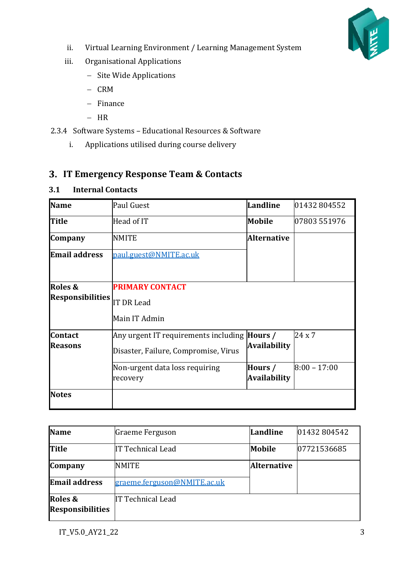

- ii. Virtual Learning Environment / Learning Management System
- iii. Organisational Applications
	- − Site Wide Applications
	- − CRM
	- − Finance
	- − HR
- 2.3.4 Software Systems Educational Resources & Software
	- i. Applications utilised during course delivery

### <span id="page-2-0"></span>**IT Emergency Response Team & Contacts**

#### <span id="page-2-1"></span>**3.1 Internal Contacts**

| <b>Name</b>             | Paul Guest                                          | <b>Landline</b>     | 01432804552    |
|-------------------------|-----------------------------------------------------|---------------------|----------------|
| <b>Title</b>            | Head of IT                                          | Mobile              | 07803 551976   |
| <b>Company</b>          | <b>NMITE</b>                                        | <b>Alternative</b>  |                |
| <b>Email address</b>    | paul.guest@NMITE.ac.uk                              |                     |                |
|                         |                                                     |                     |                |
| Roles &                 | <b>PRIMARY CONTACT</b>                              |                     |                |
| <b>Responsibilities</b> | IT DR Lead                                          |                     |                |
|                         | Main IT Admin                                       |                     |                |
| <b>Contact</b>          | Any urgent IT requirements including <b>Hours</b> / |                     | 24x7           |
| <b>Reasons</b>          | Disaster, Failure, Compromise, Virus                | <b>Availability</b> |                |
|                         | Non-urgent data loss requiring                      | Hours /             | $8:00 - 17:00$ |
|                         | recovery                                            | <b>Availability</b> |                |
| <b>Notes</b>            |                                                     |                     |                |

| <b>Name</b>             | Graeme Ferguson             | Landline           | 01432804542 |
|-------------------------|-----------------------------|--------------------|-------------|
| <b>Title</b>            | IT Technical Lead           | <b>Mobile</b>      | 07721536685 |
| <b>Company</b>          | <b>NMITE</b>                | <b>Alternative</b> |             |
| <b>Email address</b>    | graeme.ferguson@NMITE.ac.uk |                    |             |
| Roles &                 | IT Technical Lead           |                    |             |
| <b>Responsibilities</b> |                             |                    |             |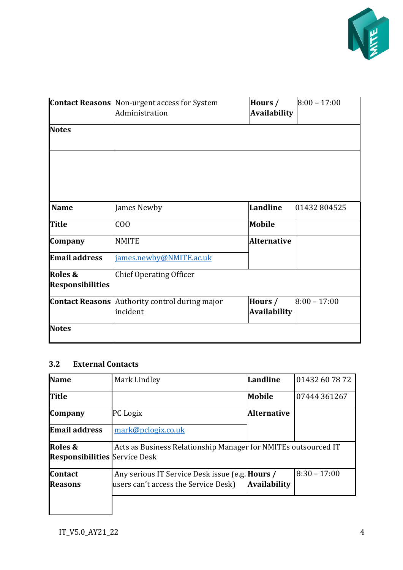

|                                    | <b>Contact Reasons</b> Non-urgent access for System<br>Administration | Hours /<br><b>Availability</b> | $8:00 - 17:00$ |
|------------------------------------|-----------------------------------------------------------------------|--------------------------------|----------------|
| <b>Notes</b>                       |                                                                       |                                |                |
|                                    |                                                                       |                                |                |
|                                    |                                                                       |                                |                |
| <b>Name</b>                        | James Newby                                                           | Landline                       | 01432804525    |
| <b>Title</b>                       | C <sub>00</sub>                                                       | <b>Mobile</b>                  |                |
| Company                            | <b>NMITE</b>                                                          | <b>Alternative</b>             |                |
| <b>Email address</b>               | james.newby@NMITE.ac.uk                                               |                                |                |
| Roles &<br><b>Responsibilities</b> | <b>Chief Operating Officer</b>                                        |                                |                |
|                                    | Contact Reasons Authority control during major<br>incident            | Hours /<br><b>Availability</b> | $8:00 - 17:00$ |
| <b>Notes</b>                       |                                                                       |                                |                |

#### <span id="page-3-0"></span>**3.2 External Contacts**

| <b>Name</b>                                     | Mark Lindley                                                                                   | Landline            | 01432 60 78 72 |
|-------------------------------------------------|------------------------------------------------------------------------------------------------|---------------------|----------------|
| <b>Title</b>                                    |                                                                                                | Mobile              | 07444 361267   |
| <b>Company</b>                                  | PC Logix                                                                                       | <b>Alternative</b>  |                |
| <b>Email address</b>                            | mark@pclogix.co.uk                                                                             |                     |                |
| Roles &<br><b>Responsibilities</b> Service Desk | Acts as Business Relationship Manager for NMITEs outsourced IT                                 |                     |                |
| <b>Contact</b><br><b>Reasons</b>                | Any serious IT Service Desk issue (e.g. <b>Hours</b> /<br>users can't access the Service Desk) | <b>Availability</b> | $8:30 - 17:00$ |
|                                                 |                                                                                                |                     |                |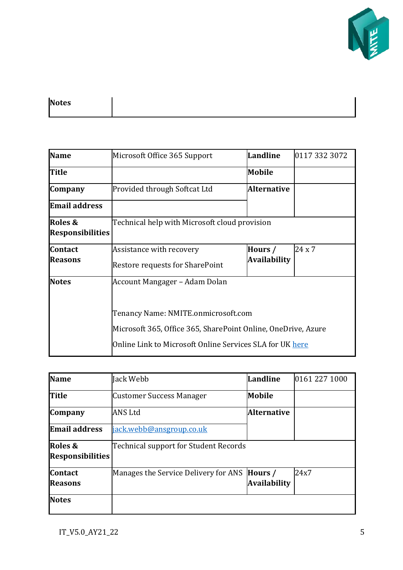

| <b>Notes</b> |  |
|--------------|--|
|--------------|--|

| <b>Name</b>                        | Microsoft Office 365 Support                                                                                                                                     | Landline            | 0117 332 3072 |
|------------------------------------|------------------------------------------------------------------------------------------------------------------------------------------------------------------|---------------------|---------------|
| <b>Title</b>                       |                                                                                                                                                                  | <b>Mobile</b>       |               |
| Company                            | Provided through Softcat Ltd                                                                                                                                     | <b>Alternative</b>  |               |
| <b>Email address</b>               |                                                                                                                                                                  |                     |               |
| Roles &<br><b>Responsibilities</b> | Technical help with Microsoft cloud provision                                                                                                                    |                     |               |
| <b>Contact</b>                     | Assistance with recovery                                                                                                                                         | Hours /             | $24 \times 7$ |
| <b>Reasons</b>                     | Restore requests for SharePoint                                                                                                                                  | <b>Availability</b> |               |
| <b>Notes</b>                       | Account Mangager – Adam Dolan                                                                                                                                    |                     |               |
|                                    | Tenancy Name: NMITE.onmicrosoft.com<br>Microsoft 365, Office 365, SharePoint Online, OneDrive, Azure<br>Online Link to Microsoft Online Services SLA for UK here |                     |               |

| <b>Name</b>                        | Jack Webb                             | Landline                       | 0161 227 1000 |
|------------------------------------|---------------------------------------|--------------------------------|---------------|
| <b>Title</b>                       | <b>Customer Success Manager</b>       | Mobile                         |               |
| <b>Company</b>                     | ANS Ltd                               | <b>Alternative</b>             |               |
| <b>Email address</b>               | jack.webb@ansgroup.co.uk              |                                |               |
| Roles &<br><b>Responsibilities</b> | Technical support for Student Records |                                |               |
| <b>Contact</b><br>Reasons          | Manages the Service Delivery for ANS  | Hours /<br><b>Availability</b> | 24x7          |
| <b>Notes</b>                       |                                       |                                |               |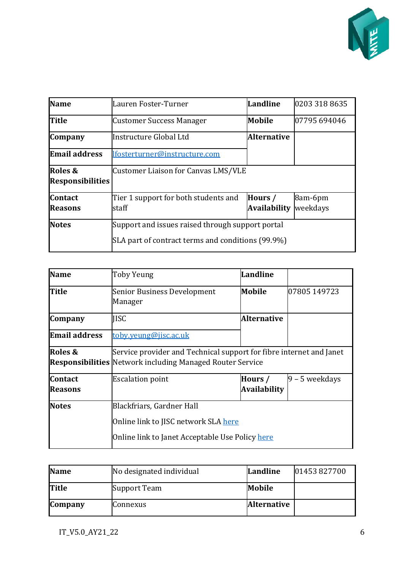

| <b>Name</b>                                       | Lauren Foster-Turner                             | Landline            | 0203 318 8635 |
|---------------------------------------------------|--------------------------------------------------|---------------------|---------------|
| <b>Title</b>                                      | <b>Customer Success Manager</b>                  | Mobile              | 07795 694046  |
| <b>Company</b>                                    | Instructure Global Ltd                           | <b>Alternative</b>  |               |
| <b>Email address</b>                              | lfosterturner@instructure.com                    |                     |               |
| Roles &                                           | Customer Liaison for Canvas LMS/VLE              |                     |               |
| <b>Responsibilities</b>                           |                                                  |                     |               |
| <b>Contact</b>                                    | Tier 1 support for both students and             | Hours /             | 8am-6pm       |
| <b>Reasons</b>                                    | staff                                            | <b>Availability</b> | weekdays      |
| <b>Notes</b>                                      | Support and issues raised through support portal |                     |               |
| SLA part of contract terms and conditions (99.9%) |                                                  |                     |               |

| <b>Name</b>          | <b>Toby Yeung</b>                                                   | Landline                                                         |                  |  |
|----------------------|---------------------------------------------------------------------|------------------------------------------------------------------|------------------|--|
| Title                | <b>Senior Business Development</b><br>Manager                       | Mobile                                                           | 07805 149723     |  |
| <b>Company</b>       | <b>IISC</b>                                                         | <b>Alternative</b>                                               |                  |  |
| <b>Email address</b> | toby.yeung@jisc.ac.uk                                               |                                                                  |                  |  |
| Roles &              | Service provider and Technical support for fibre internet and Janet |                                                                  |                  |  |
|                      |                                                                     | <b>Responsibilities</b> Network including Managed Router Service |                  |  |
| <b>Contact</b>       | <b>Escalation point</b>                                             | Hours /                                                          | $9 - 5$ weekdays |  |
| <b>Reasons</b>       |                                                                     | <b>Availability</b>                                              |                  |  |
| <b>Notes</b>         | Blackfriars, Gardner Hall                                           |                                                                  |                  |  |
|                      | Online link to JISC network SLA <u>here</u>                         |                                                                  |                  |  |
|                      | Online link to Janet Acceptable Use Policy here                     |                                                                  |                  |  |

| <b>Name</b>    | No designated individual | Landline           | 01453827700 |
|----------------|--------------------------|--------------------|-------------|
| <b>Title</b>   | Support Team             | Mobile             |             |
| <b>Company</b> | Connexus                 | <b>Alternative</b> |             |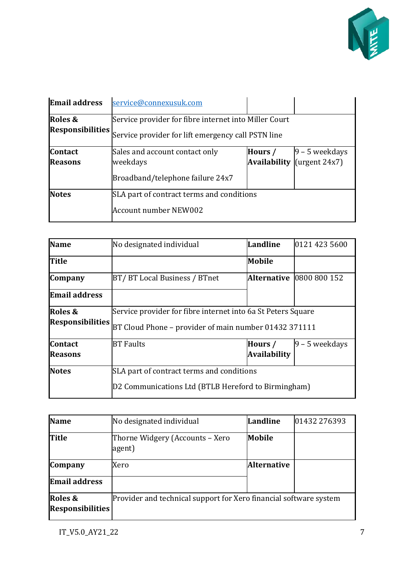

| <b>Email address</b>               | service@connexusuk.com                                                                                      |         |                                                                             |
|------------------------------------|-------------------------------------------------------------------------------------------------------------|---------|-----------------------------------------------------------------------------|
| Roles &<br><b>Responsibilities</b> | Service provider for fibre internet into Miller Court<br>Service provider for lift emergency call PSTN line |         |                                                                             |
| <b>Contact</b><br><b>Reasons</b>   | Sales and account contact only<br>weekdays<br>Broadband/telephone failure 24x7                              | Hours / | $9 - 5$ weekdays<br><b>Availability</b> $\left[\text{(target 24x7)}\right]$ |
| <b>Notes</b>                       | SLA part of contract terms and conditions<br>Account number NEW002                                          |         |                                                                             |

| <b>Name</b>             | No designated individual                                     | Landline            | 0121 423 5600                   |
|-------------------------|--------------------------------------------------------------|---------------------|---------------------------------|
| Title                   |                                                              | Mobile              |                                 |
| <b>Company</b>          | BT/BT Local Business / BTnet                                 |                     | <b>Alternative 0800 800 152</b> |
| <b>Email address</b>    |                                                              |                     |                                 |
| Roles &                 | Service provider for fibre internet into 6a St Peters Square |                     |                                 |
| <b>Responsibilities</b> | BT Cloud Phone – provider of main number 01432 371111        |                     |                                 |
| <b>Contact</b>          | $ 9 - 5$ weekdays<br><b>BT</b> Faults<br>Hours /             |                     |                                 |
| <b>Reasons</b>          |                                                              | <b>Availability</b> |                                 |
| <b>Notes</b>            | SLA part of contract terms and conditions                    |                     |                                 |
|                         | D2 Communications Ltd (BTLB Hereford to Birmingham)          |                     |                                 |

| <b>Name</b>                        | No designated individual                                          | Landline           | 01432 276393 |
|------------------------------------|-------------------------------------------------------------------|--------------------|--------------|
| <b>Title</b>                       | Thorne Widgery (Accounts - Xero<br>agent)                         | Mobile             |              |
| <b>Company</b>                     | Xero                                                              | <b>Alternative</b> |              |
| <b>Email address</b>               |                                                                   |                    |              |
| Roles &<br><b>Responsibilities</b> | Provider and technical support for Xero financial software system |                    |              |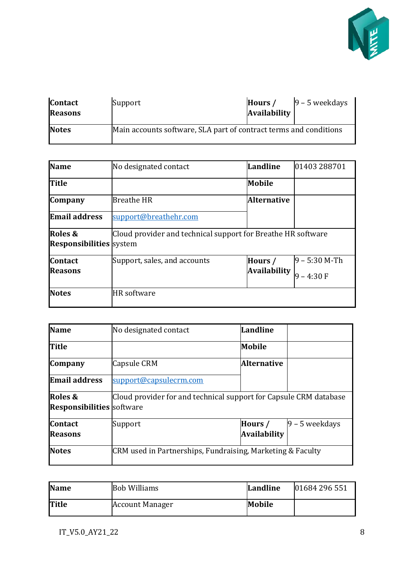

| <b>Contact</b><br><b>Reasons</b> | Support                                                           | Hours /<br>Availability | $9 - 5$ weekdays |
|----------------------------------|-------------------------------------------------------------------|-------------------------|------------------|
| <b>Notes</b>                     | Main accounts software, SLA part of contract terms and conditions |                         |                  |

| <b>Name</b>                               | No designated contact                                        | Landline                | 01403 288701                    |
|-------------------------------------------|--------------------------------------------------------------|-------------------------|---------------------------------|
| <b>Title</b>                              |                                                              | Mobile                  |                                 |
| <b>Company</b>                            | <b>Breathe HR</b>                                            | <b>Alternative</b>      |                                 |
| <b>Email address</b>                      | support@breathehr.com                                        |                         |                                 |
| Roles &<br><b>Responsibilities</b> system | Cloud provider and technical support for Breathe HR software |                         |                                 |
| <b>Contact</b><br><b>Reasons</b>          | Support, sales, and accounts                                 | Hours /<br>Availability | $9 - 5:30$ M-Th<br>$9 - 4:30 F$ |
| <b>Notes</b>                              | <b>HR</b> software                                           |                         |                                 |

| <b>Name</b>                                 | No designated contact                                             | Landline                |                  |
|---------------------------------------------|-------------------------------------------------------------------|-------------------------|------------------|
| <b>Title</b>                                |                                                                   | Mobile                  |                  |
| <b>Company</b>                              | <b>Capsule CRM</b>                                                | <b>Alternative</b>      |                  |
| <b>Email address</b>                        | support@capsulecrm.com                                            |                         |                  |
| Roles &<br><b>Responsibilities</b> software | Cloud provider for and technical support for Capsule CRM database |                         |                  |
| <b>Contact</b><br><b>Reasons</b>            | Support                                                           | Hours /<br>Availability | $9 - 5$ weekdays |
| <b>Notes</b>                                | CRM used in Partnerships, Fundraising, Marketing & Faculty        |                         |                  |

| <b>Name</b>  | <b>Bob Williams</b>    | Landline | 01684 296 551 |
|--------------|------------------------|----------|---------------|
| <b>Title</b> | <b>Account Manager</b> | Mobile   |               |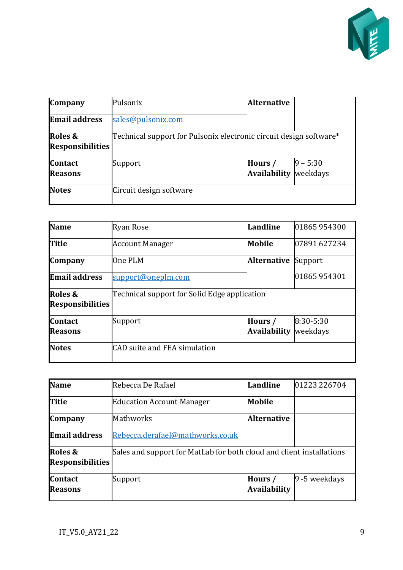

| <b>Company</b>                     | Pulsonix                                                           | <b>Alternative</b>             |                         |
|------------------------------------|--------------------------------------------------------------------|--------------------------------|-------------------------|
| <b>Email address</b>               | sales@pulsonix.com                                                 |                                |                         |
| Roles &<br><b>Responsibilities</b> | Technical support for Pulsonix electronic circuit design software* |                                |                         |
| <b>Contact</b><br><b>Reasons</b>   | Support                                                            | Hours /<br><b>Availability</b> | $ 9 - 5:30$<br>weekdays |
| <b>Notes</b>                       | Circuit design software                                            |                                |                         |

| <b>Name</b>                        | <b>Ryan Rose</b>                             | Landline            | 01865 954300   |
|------------------------------------|----------------------------------------------|---------------------|----------------|
| <b>Title</b>                       | <b>Account Manager</b>                       | <b>Mobile</b>       | 07891 627234   |
| <b>Company</b>                     | One PLM                                      | <b>Alternative</b>  | Support        |
| <b>Email address</b>               | support@oneplm.com                           |                     | 01865 954301   |
| Roles &<br><b>Responsibilities</b> | Technical support for Solid Edge application |                     |                |
| <b>Contact</b>                     | Support                                      | Hours /             | $ 8:30 - 5:30$ |
| Reasons                            |                                              | <b>Availability</b> | weekdays       |
| <b>Notes</b>                       | CAD suite and FEA simulation                 |                     |                |

| <b>Name</b>                        | Rebecca De Rafael                                                    | Landline                       | 01223 226704  |
|------------------------------------|----------------------------------------------------------------------|--------------------------------|---------------|
| Title                              | <b>Education Account Manager</b>                                     | Mobile                         |               |
| <b>Company</b>                     | Mathworks                                                            | <b>Alternative</b>             |               |
| <b>Email address</b>               | Rebecca.derafael@mathworks.co.uk                                     |                                |               |
| Roles &<br><b>Responsibilities</b> | Sales and support for MatLab for both cloud and client installations |                                |               |
| <b>Contact</b><br><b>Reasons</b>   | Support                                                              | Hours /<br><b>Availability</b> | 9 -5 weekdays |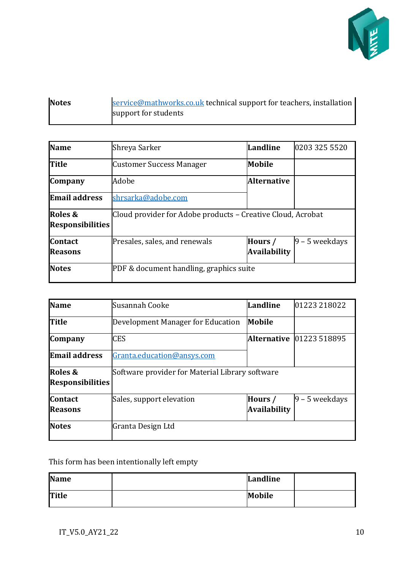

| <b>Notes</b> | service@mathworks.co.uk technical support for teachers, installation |
|--------------|----------------------------------------------------------------------|
|              | support for students                                                 |

| <b>Name</b>                        | Shreya Sarker                                               | Landline                       | 0203 325 5520     |
|------------------------------------|-------------------------------------------------------------|--------------------------------|-------------------|
| <b>Title</b>                       | Customer Success Manager                                    | Mobile                         |                   |
| <b>Company</b>                     | Adobe                                                       | <b>Alternative</b>             |                   |
| <b>Email address</b>               | shrsarka@adobe.com                                          |                                |                   |
| Roles &<br><b>Responsibilities</b> | Cloud provider for Adobe products – Creative Cloud, Acrobat |                                |                   |
| <b>Contact</b><br>Reasons          | Presales, sales, and renewals                               | Hours /<br><b>Availability</b> | $ 9 - 5$ weekdays |
| <b>Notes</b>                       | PDF & document handling, graphics suite                     |                                |                   |

| <b>Name</b>                        | Susannah Cooke                                  | Landline                       | 01223 218022      |
|------------------------------------|-------------------------------------------------|--------------------------------|-------------------|
| <b>Title</b>                       | Development Manager for Education               | Mobile                         |                   |
| <b>Company</b>                     | <b>CES</b>                                      | <b>Alternative</b>             | 01223 518895      |
| <b>Email address</b>               | Granta.education@ansys.com                      |                                |                   |
| Roles &<br><b>Responsibilities</b> | Software provider for Material Library software |                                |                   |
| <b>Contact</b><br><b>Reasons</b>   | Sales, support elevation                        | Hours /<br><b>Availability</b> | $ 9 - 5$ weekdays |
| <b>Notes</b>                       | Granta Design Ltd                               |                                |                   |

### This form has been intentionally left empty

| <b>Name</b>  | Landline |  |
|--------------|----------|--|
| <b>Title</b> | Mobile   |  |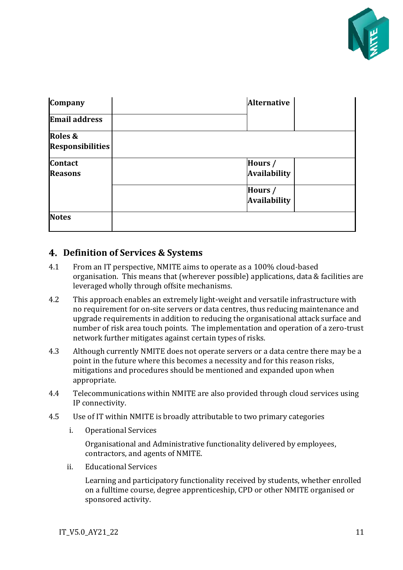

| Company                            | <b>Alternative</b>             |
|------------------------------------|--------------------------------|
| <b>Email address</b>               |                                |
| Roles &<br><b>Responsibilities</b> |                                |
|                                    |                                |
| <b>Contact</b><br><b>Reasons</b>   | Hours /<br><b>Availability</b> |
|                                    | Hours /<br>Availability        |
| <b>Notes</b>                       |                                |

### <span id="page-10-0"></span>**Definition of Services & Systems**

- 4.1 From an IT perspective, NMITE aims to operate as a 100% cloud-based organisation. This means that (wherever possible) applications, data & facilities are leveraged wholly through offsite mechanisms.
- 4.2 This approach enables an extremely light-weight and versatile infrastructure with no requirement for on-site servers or data centres, thus reducing maintenance and upgrade requirements in addition to reducing the organisational attack surface and number of risk area touch points. The implementation and operation of a zero-trust network further mitigates against certain types of risks.
- 4.3 Although currently NMITE does not operate servers or a data centre there may be a point in the future where this becomes a necessity and for this reason risks, mitigations and procedures should be mentioned and expanded upon when appropriate.
- 4.4 Telecommunications within NMITE are also provided through cloud services using IP connectivity.
- 4.5 Use of IT within NMITE is broadly attributable to two primary categories
	- i. Operational Services

Organisational and Administrative functionality delivered by employees, contractors, and agents of NMITE.

ii. Educational Services

Learning and participatory functionality received by students, whether enrolled on a fulltime course, degree apprenticeship, CPD or other NMITE organised or sponsored activity.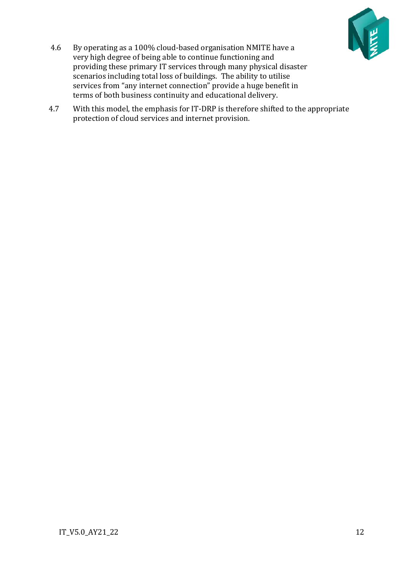

- 4.6 By operating as a 100% cloud-based organisation NMITE have a very high degree of being able to continue functioning and providing these primary IT services through many physical disaster scenarios including total loss of buildings. The ability to utilise services from "any internet connection" provide a huge benefit in terms of both business continuity and educational delivery.
- 4.7 With this model, the emphasis for IT-DRP is therefore shifted to the appropriate protection of cloud services and internet provision.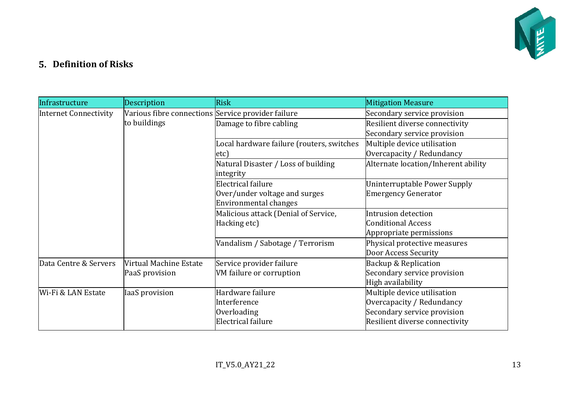

## **Definition of Risks**

<span id="page-12-0"></span>

| Infrastructure               | Description                                                        | <b>Risk</b>                                         | <b>Mitigation Measure</b>                                     |
|------------------------------|--------------------------------------------------------------------|-----------------------------------------------------|---------------------------------------------------------------|
| <b>Internet Connectivity</b> | Various fibre connections Service provider failure<br>to buildings |                                                     | Secondary service provision                                   |
|                              |                                                                    | Damage to fibre cabling                             | Resilient diverse connectivity<br>Secondary service provision |
|                              |                                                                    |                                                     |                                                               |
|                              |                                                                    | Local hardware failure (routers, switches<br>etc)   | Multiple device utilisation<br>Overcapacity / Redundancy      |
|                              |                                                                    | Natural Disaster / Loss of building<br>integrity    | Alternate location/Inherent ability                           |
|                              |                                                                    | Electrical failure<br>Over/under voltage and surges | Uninterruptable Power Supply<br><b>Emergency Generator</b>    |
|                              |                                                                    | Environmental changes                               |                                                               |
|                              |                                                                    | Malicious attack (Denial of Service,                | Intrusion detection                                           |
|                              |                                                                    | Hacking etc)                                        | <b>Conditional Access</b>                                     |
|                              |                                                                    |                                                     | Appropriate permissions                                       |
|                              |                                                                    | Vandalism / Sabotage / Terrorism                    | Physical protective measures                                  |
|                              |                                                                    |                                                     | Door Access Security                                          |
| Data Centre & Servers        | Virtual Machine Estate<br>PaaS provision                           | Service provider failure                            | Backup & Replication                                          |
|                              |                                                                    | VM failure or corruption                            | Secondary service provision                                   |
|                              |                                                                    |                                                     | High availability                                             |
| Wi-Fi & LAN Estate           | <b>IaaS</b> provision                                              | Hardware failure                                    | Multiple device utilisation                                   |
|                              |                                                                    | Interference                                        | Overcapacity / Redundancy                                     |
|                              |                                                                    | Overloading                                         | Secondary service provision                                   |
|                              |                                                                    | Electrical failure                                  | Resilient diverse connectivity                                |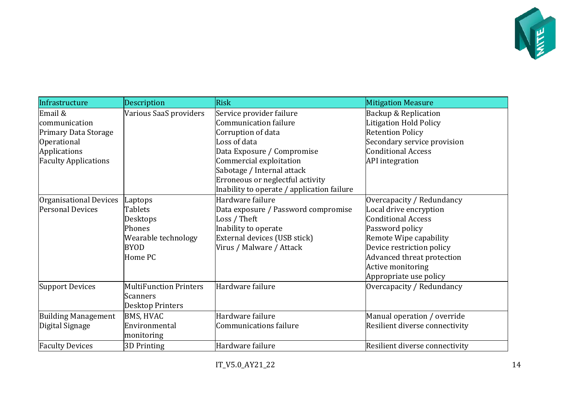

| Infrastructure              | Description                   | <b>Risk</b>                                | <b>Mitigation Measure</b>      |
|-----------------------------|-------------------------------|--------------------------------------------|--------------------------------|
| Email &                     | Various SaaS providers        | Service provider failure                   | Backup & Replication           |
| communication               |                               | <b>Communication failure</b>               | <b>Litigation Hold Policy</b>  |
| <b>Primary Data Storage</b> |                               | Corruption of data                         | <b>Retention Policy</b>        |
| <b>Operational</b>          |                               | Loss of data                               | Secondary service provision    |
| Applications                |                               | Data Exposure / Compromise                 | <b>Conditional Access</b>      |
| <b>Faculty Applications</b> |                               | Commercial exploitation                    | <b>API</b> integration         |
|                             |                               | Sabotage / Internal attack                 |                                |
|                             |                               | Erroneous or neglectful activity           |                                |
|                             |                               | Inability to operate / application failure |                                |
| Organisational Devices      | Laptops                       | Hardware failure                           | Overcapacity / Redundancy      |
| <b>Personal Devices</b>     | <b>Tablets</b>                | Data exposure / Password compromise        | Local drive encryption         |
|                             | Desktops                      | Loss / Theft                               | <b>Conditional Access</b>      |
|                             | Phones                        | Inability to operate                       | Password policy                |
|                             | Wearable technology           | External devices (USB stick)               | Remote Wipe capability         |
|                             | <b>BYOD</b>                   | Virus / Malware / Attack                   | Device restriction policy      |
|                             | Home PC                       |                                            | Advanced threat protection     |
|                             |                               |                                            | <b>Active monitoring</b>       |
|                             |                               |                                            | Appropriate use policy         |
| <b>Support Devices</b>      | <b>MultiFunction Printers</b> | Hardware failure                           | Overcapacity / Redundancy      |
|                             | <b>Scanners</b>               |                                            |                                |
|                             | <b>Desktop Printers</b>       |                                            |                                |
| <b>Building Management</b>  | <b>BMS, HVAC</b>              | Hardware failure                           | Manual operation / override    |
| Digital Signage             | Environmental                 | Communications failure                     | Resilient diverse connectivity |
|                             | monitoring                    |                                            |                                |
| <b>Faculty Devices</b>      | 3D Printing                   | Hardware failure                           | Resilient diverse connectivity |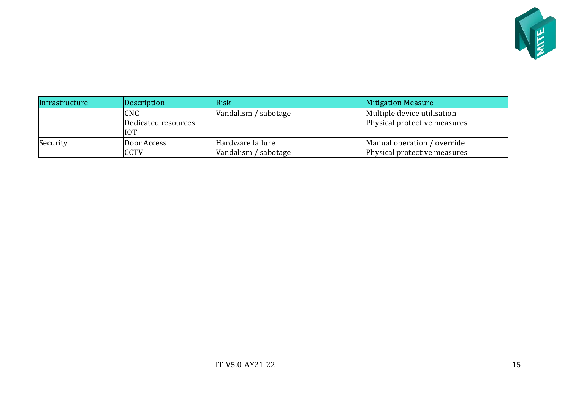

| Infrastructure | Description                                     | Risk                                     | <b>Mitigation Measure</b>                                   |
|----------------|-------------------------------------------------|------------------------------------------|-------------------------------------------------------------|
|                | <b>CNC</b><br>Dedicated resources<br><b>IOT</b> | Vandalism / sabotage                     | Multiple device utilisation<br>Physical protective measures |
| Security       | Door Access<br><b>CCTV</b>                      | Hardware failure<br>Vandalism / sabotage | Manual operation / override<br>Physical protective measures |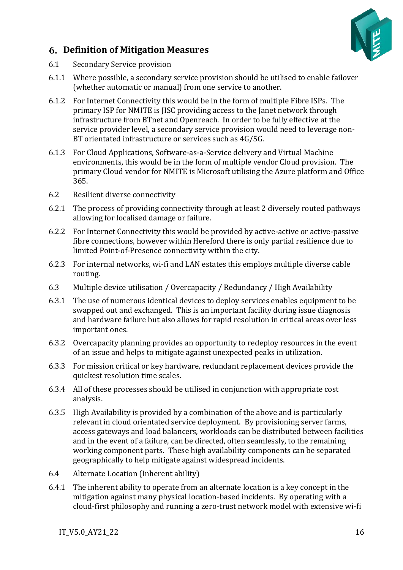

### <span id="page-15-0"></span>**Definition of Mitigation Measures**

- 6.1 Secondary Service provision
- 6.1.1 Where possible, a secondary service provision should be utilised to enable failover (whether automatic or manual) from one service to another.
- 6.1.2 For Internet Connectivity this would be in the form of multiple Fibre ISPs. The primary ISP for NMITE is JISC providing access to the Janet network through infrastructure from BTnet and Openreach. In order to be fully effective at the service provider level, a secondary service provision would need to leverage non-BT orientated infrastructure or services such as 4G/5G.
- 6.1.3 For Cloud Applications, Software-as-a-Service delivery and Virtual Machine environments, this would be in the form of multiple vendor Cloud provision. The primary Cloud vendor for NMITE is Microsoft utilising the Azure platform and Office 365.
- 6.2 Resilient diverse connectivity
- 6.2.1 The process of providing connectivity through at least 2 diversely routed pathways allowing for localised damage or failure.
- 6.2.2 For Internet Connectivity this would be provided by active-active or active-passive fibre connections, however within Hereford there is only partial resilience due to limited Point-of-Presence connectivity within the city.
- 6.2.3 For internal networks, wi-fi and LAN estates this employs multiple diverse cable routing.
- 6.3 Multiple device utilisation / Overcapacity / Redundancy / High Availability
- 6.3.1 The use of numerous identical devices to deploy services enables equipment to be swapped out and exchanged. This is an important facility during issue diagnosis and hardware failure but also allows for rapid resolution in critical areas over less important ones.
- 6.3.2 Overcapacity planning provides an opportunity to redeploy resources in the event of an issue and helps to mitigate against unexpected peaks in utilization.
- 6.3.3 For mission critical or key hardware, redundant replacement devices provide the quickest resolution time scales.
- 6.3.4 All of these processes should be utilised in conjunction with appropriate cost analysis.
- 6.3.5 High Availability is provided by a combination of the above and is particularly relevant in cloud orientated service deployment. By provisioning server farms, access gateways and load balancers, workloads can be distributed between facilities and in the event of a failure, can be directed, often seamlessly, to the remaining working component parts. These high availability components can be separated geographically to help mitigate against widespread incidents.
- 6.4 Alternate Location (Inherent ability)
- 6.4.1 The inherent ability to operate from an alternate location is a key concept in the mitigation against many physical location-based incidents. By operating with a cloud-first philosophy and running a zero-trust network model with extensive wi-fi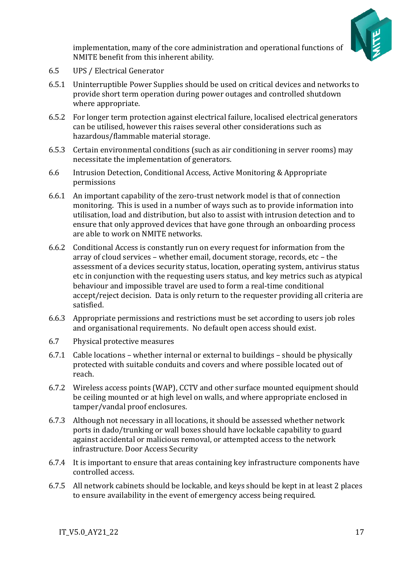

implementation, many of the core administration and operational functions of NMITE benefit from this inherent ability.

- 6.5 UPS / Electrical Generator
- 6.5.1 Uninterruptible Power Supplies should be used on critical devices and networks to provide short term operation during power outages and controlled shutdown where appropriate.
- 6.5.2 For longer term protection against electrical failure, localised electrical generators can be utilised, however this raises several other considerations such as hazardous/flammable material storage.
- 6.5.3 Certain environmental conditions (such as air conditioning in server rooms) may necessitate the implementation of generators.
- 6.6 Intrusion Detection, Conditional Access, Active Monitoring & Appropriate permissions
- 6.6.1 An important capability of the zero-trust network model is that of connection monitoring. This is used in a number of ways such as to provide information into utilisation, load and distribution, but also to assist with intrusion detection and to ensure that only approved devices that have gone through an onboarding process are able to work on NMITE networks.
- 6.6.2 Conditional Access is constantly run on every request for information from the array of cloud services – whether email, document storage, records, etc – the assessment of a devices security status, location, operating system, antivirus status etc in conjunction with the requesting users status, and key metrics such as atypical behaviour and impossible travel are used to form a real-time conditional accept/reject decision. Data is only return to the requester providing all criteria are satisfied.
- 6.6.3 Appropriate permissions and restrictions must be set according to users job roles and organisational requirements. No default open access should exist.
- 6.7 Physical protective measures
- 6.7.1 Cable locations whether internal or external to buildings should be physically protected with suitable conduits and covers and where possible located out of reach.
- 6.7.2 Wireless access points (WAP), CCTV and other surface mounted equipment should be ceiling mounted or at high level on walls, and where appropriate enclosed in tamper/vandal proof enclosures.
- 6.7.3 Although not necessary in all locations, it should be assessed whether network ports in dado/trunking or wall boxes should have lockable capability to guard against accidental or malicious removal, or attempted access to the network infrastructure. Door Access Security
- 6.7.4 It is important to ensure that areas containing key infrastructure components have controlled access.
- 6.7.5 All network cabinets should be lockable, and keys should be kept in at least 2 places to ensure availability in the event of emergency access being required.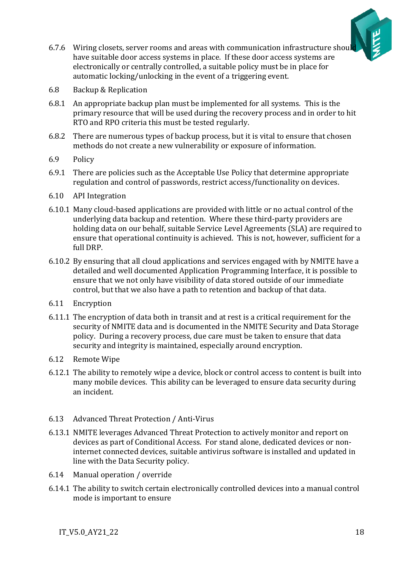

- 6.7.6 Wiring closets, server rooms and areas with communication infrastructure shoul have suitable door access systems in place. If these door access systems are electronically or centrally controlled, a suitable policy must be in place for automatic locking/unlocking in the event of a triggering event.
- 6.8 Backup & Replication
- 6.8.1 An appropriate backup plan must be implemented for all systems. This is the primary resource that will be used during the recovery process and in order to hit RTO and RPO criteria this must be tested regularly.
- 6.8.2 There are numerous types of backup process, but it is vital to ensure that chosen methods do not create a new vulnerability or exposure of information.
- 6.9 Policy
- 6.9.1 There are policies such as the Acceptable Use Policy that determine appropriate regulation and control of passwords, restrict access/functionality on devices.
- 6.10 API Integration
- 6.10.1 Many cloud-based applications are provided with little or no actual control of the underlying data backup and retention. Where these third-party providers are holding data on our behalf, suitable Service Level Agreements (SLA) are required to ensure that operational continuity is achieved. This is not, however, sufficient for a full DRP.
- 6.10.2 By ensuring that all cloud applications and services engaged with by NMITE have a detailed and well documented Application Programming Interface, it is possible to ensure that we not only have visibility of data stored outside of our immediate control, but that we also have a path to retention and backup of that data.
- 6.11 Encryption
- 6.11.1 The encryption of data both in transit and at rest is a critical requirement for the security of NMITE data and is documented in the NMITE Security and Data Storage policy. During a recovery process, due care must be taken to ensure that data security and integrity is maintained, especially around encryption.
- 6.12 Remote Wipe
- 6.12.1 The ability to remotely wipe a device, block or control access to content is built into many mobile devices. This ability can be leveraged to ensure data security during an incident.
- 6.13 Advanced Threat Protection / Anti-Virus
- 6.13.1 NMITE leverages Advanced Threat Protection to actively monitor and report on devices as part of Conditional Access. For stand alone, dedicated devices or noninternet connected devices, suitable antivirus software is installed and updated in line with the Data Security policy.
- 6.14 Manual operation / override
- 6.14.1 The ability to switch certain electronically controlled devices into a manual control mode is important to ensure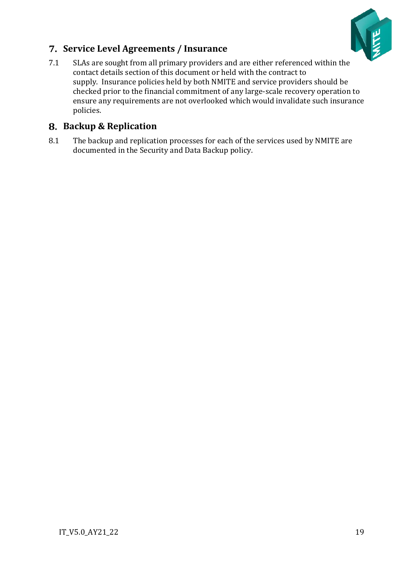

## <span id="page-18-0"></span>**Service Level Agreements / Insurance**

7.1 SLAs are sought from all primary providers and are either referenced within the contact details section of this document or held with the contract to supply. Insurance policies held by both NMITE and service providers should be checked prior to the financial commitment of any large-scale recovery operation to ensure any requirements are not overlooked which would invalidate such insurance policies.

## <span id="page-18-1"></span>**Backup & Replication**

8.1 The backup and replication processes for each of the services used by NMITE are documented in the Security and Data Backup policy.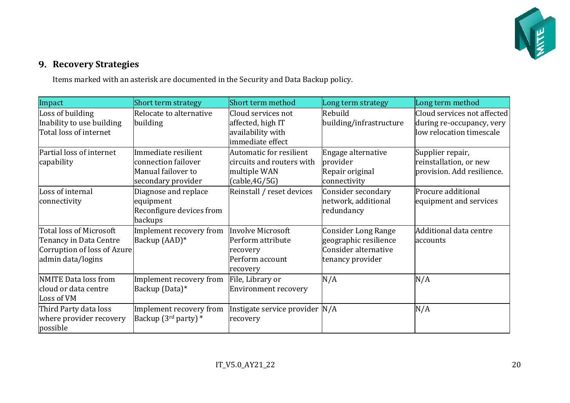

## **9. Recovery Strategies**

Items marked with an asterisk are documented in the Security and Data Backup policy.

<span id="page-19-0"></span>

| Impact                      | Short term strategy         | Short term method              | Long term strategy      | Long term method            |
|-----------------------------|-----------------------------|--------------------------------|-------------------------|-----------------------------|
| Loss of building            | Relocate to alternative     | Cloud services not             | Rebuild                 | Cloud services not affected |
| Inability to use building   | building                    | affected, high IT              | building/infrastructure | during re-occupancy, very   |
| Total loss of internet      |                             | availability with              |                         | low relocation timescale    |
|                             |                             | immediate effect               |                         |                             |
| Partial loss of internet    | Immediate resilient         | Automatic for resilient        | Engage alternative      | Supplier repair,            |
| capability                  | connection failover         | circuits and routers with      | provider                | reinstallation, or new      |
|                             | Manual failover to          | multiple WAN                   | Repair original         | provision. Add resilience.  |
|                             | secondary provider          | (cable, 4G/5G)                 | connectivity            |                             |
| Loss of internal            | Diagnose and replace        | Reinstall / reset devices      | Consider secondary      | Procure additional          |
| connectivity                | equipment                   |                                | network, additional     | equipment and services      |
|                             | Reconfigure devices from    |                                | redundancy              |                             |
|                             | backups                     |                                |                         |                             |
| Total loss of Microsoft     | Implement recovery from     | Involve Microsoft              | Consider Long Range     | Additional data centre      |
| Tenancy in Data Centre      | Backup (AAD)*               | Perform attribute              | geographic resilience   | accounts                    |
| Corruption of loss of Azure |                             | recovery                       | Consider alternative    |                             |
| admin data/logins           |                             | Perform account                | tenancy provider        |                             |
|                             |                             | recovery                       |                         |                             |
| NMITE Data loss from        | Implement recovery from     | File, Library or               | N/A                     | N/A                         |
| cloud or data centre        | Backup (Data)*              | Environment recovery           |                         |                             |
| Loss of VM                  |                             |                                |                         |                             |
| Third Party data loss       | Implement recovery from     | Instigate service provider N/A |                         | N/A                         |
| where provider recovery     | Backup $(3^{rd}$ party) $*$ | recovery                       |                         |                             |
| possible                    |                             |                                |                         |                             |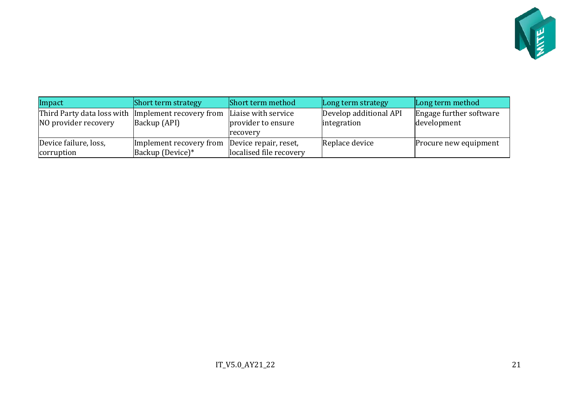

| Impact                                             | <b>Short term strategy</b> | Short term method       | Long term strategy     | Long term method        |
|----------------------------------------------------|----------------------------|-------------------------|------------------------|-------------------------|
| Third Party data loss with Implement recovery from |                            | Liaise with service     | Develop additional API | Engage further software |
| NO provider recovery                               | Backup (API)               | provider to ensure      | integration            | development             |
|                                                    |                            | recovery                |                        |                         |
| Device failure, loss,                              | Implement recovery from    | Device repair, reset,   | Replace device         | Procure new equipment   |
| corruption                                         | Backup (Device)*           | localised file recovery |                        |                         |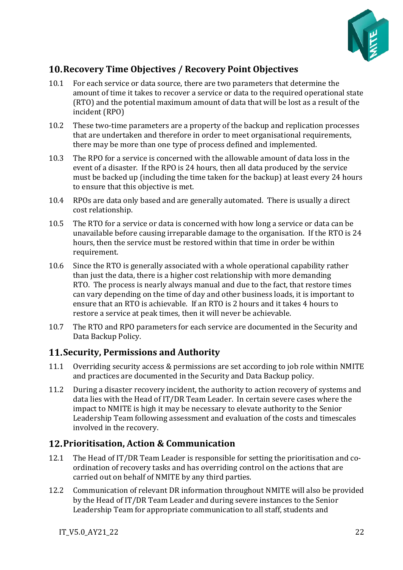

## <span id="page-21-0"></span>**Recovery Time Objectives / Recovery Point Objectives**

- 10.1 For each service or data source, there are two parameters that determine the amount of time it takes to recover a service or data to the required operational state (RTO) and the potential maximum amount of data that will be lost as a result of the incident (RPO)
- 10.2 These two-time parameters are a property of the backup and replication processes that are undertaken and therefore in order to meet organisational requirements, there may be more than one type of process defined and implemented.
- 10.3 The RPO for a service is concerned with the allowable amount of data loss in the event of a disaster. If the RPO is 24 hours, then all data produced by the service must be backed up (including the time taken for the backup) at least every 24 hours to ensure that this objective is met.
- 10.4 RPOs are data only based and are generally automated. There is usually a direct cost relationship.
- 10.5 The RTO for a service or data is concerned with how long a service or data can be unavailable before causing irreparable damage to the organisation. If the RTO is 24 hours, then the service must be restored within that time in order be within requirement.
- 10.6 Since the RTO is generally associated with a whole operational capability rather than just the data, there is a higher cost relationship with more demanding RTO. The process is nearly always manual and due to the fact, that restore times can vary depending on the time of day and other business loads, it is important to ensure that an RTO is achievable. If an RTO is 2 hours and it takes 4 hours to restore a service at peak times, then it will never be achievable.
- 10.7 The RTO and RPO parameters for each service are documented in the Security and Data Backup Policy.

## <span id="page-21-1"></span>**Security, Permissions and Authority**

- 11.1 Overriding security access & permissions are set according to job role within NMITE and practices are documented in the Security and Data Backup policy.
- 11.2 During a disaster recovery incident, the authority to action recovery of systems and data lies with the Head of IT/DR Team Leader. In certain severe cases where the impact to NMITE is high it may be necessary to elevate authority to the Senior Leadership Team following assessment and evaluation of the costs and timescales involved in the recovery.

## <span id="page-21-2"></span>**Prioritisation, Action & Communication**

- 12.1 The Head of IT/DR Team Leader is responsible for setting the prioritisation and coordination of recovery tasks and has overriding control on the actions that are carried out on behalf of NMITE by any third parties.
- 12.2 Communication of relevant DR information throughout NMITE will also be provided by the Head of IT/DR Team Leader and during severe instances to the Senior Leadership Team for appropriate communication to all staff, students and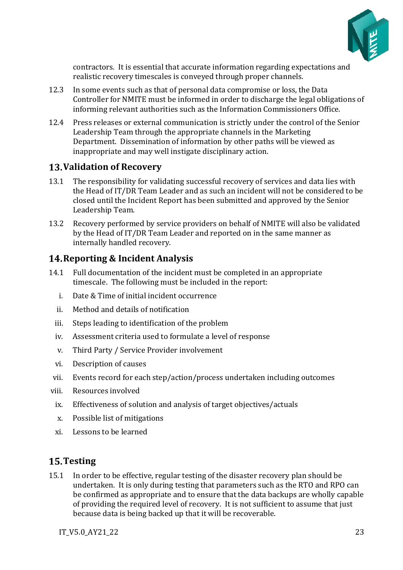

contractors. It is essential that accurate information regarding expectations and realistic recovery timescales is conveyed through proper channels.

- 12.3 In some events such as that of personal data compromise or loss, the Data Controller for NMITE must be informed in order to discharge the legal obligations of informing relevant authorities such as the Information Commissioners Office.
- 12.4 Press releases or external communication is strictly under the control of the Senior Leadership Team through the appropriate channels in the Marketing Department. Dissemination of information by other paths will be viewed as inappropriate and may well instigate disciplinary action.

### <span id="page-22-0"></span>**Validation of Recovery**

- 13.1 The responsibility for validating successful recovery of services and data lies with the Head of IT/DR Team Leader and as such an incident will not be considered to be closed until the Incident Report has been submitted and approved by the Senior Leadership Team.
- 13.2 Recovery performed by service providers on behalf of NMITE will also be validated by the Head of IT/DR Team Leader and reported on in the same manner as internally handled recovery.

### <span id="page-22-1"></span>**Reporting & Incident Analysis**

- 14.1 Full documentation of the incident must be completed in an appropriate timescale. The following must be included in the report:
	- i. Date & Time of initial incident occurrence
	- ii. Method and details of notification
	- iii. Steps leading to identification of the problem
	- iv. Assessment criteria used to formulate a level of response
	- v. Third Party / Service Provider involvement
	- vi. Description of causes
- vii. Events record for each step/action/process undertaken including outcomes
- viii. Resources involved
	- ix. Effectiveness of solution and analysis of target objectives/actuals
	- x. Possible list of mitigations
	- xi. Lessons to be learned

### <span id="page-22-2"></span>**Testing**

15.1 In order to be effective, regular testing of the disaster recovery plan should be undertaken. It is only during testing that parameters such as the RTO and RPO can be confirmed as appropriate and to ensure that the data backups are wholly capable of providing the required level of recovery. It is not sufficient to assume that just because data is being backed up that it will be recoverable.

IT V5.0 AY21 22 23